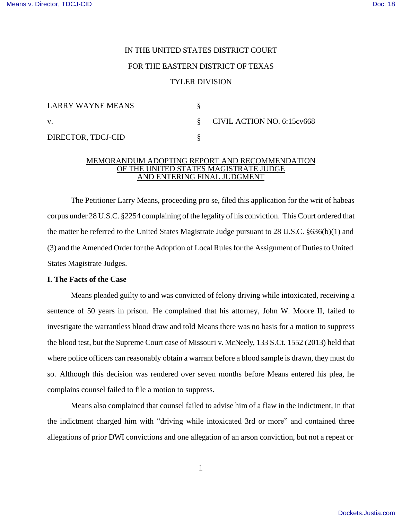# IN THE UNITED STATES DISTRICT COURT FOR THE EASTERN DISTRICT OF TEXAS TYLER DIVISION

| LARRY WAYNE MEANS  |                              |
|--------------------|------------------------------|
| V.                 | § CIVIL ACTION NO. 6:15cv668 |
| DIRECTOR, TDCJ-CID |                              |

## MEMORANDUM ADOPTING REPORT AND RECOMMENDATION OF THE UNITED STATES MAGISTRATE JUDGE AND ENTERING FINAL JUDGMENT

The Petitioner Larry Means, proceeding pro se, filed this application for the writ of habeas corpus under 28 U.S.C. §2254 complaining of the legality of his conviction. This Court ordered that the matter be referred to the United States Magistrate Judge pursuant to 28 U.S.C. §636(b)(1) and (3) and the Amended Order for the Adoption of Local Rules for the Assignment of Duties to United States Magistrate Judges.

## **I. The Facts of the Case**

Means pleaded guilty to and was convicted of felony driving while intoxicated, receiving a sentence of 50 years in prison. He complained that his attorney, John W. Moore II, failed to investigate the warrantless blood draw and told Means there was no basis for a motion to suppress the blood test, but the Supreme Court case of Missouri v. McNeely, 133 S.Ct. 1552 (2013) held that where police officers can reasonably obtain a warrant before a blood sample is drawn, they must do so. Although this decision was rendered over seven months before Means entered his plea, he complains counsel failed to file a motion to suppress.

Means also complained that counsel failed to advise him of a flaw in the indictment, in that the indictment charged him with "driving while intoxicated 3rd or more" and contained three allegations of prior DWI convictions and one allegation of an arson conviction, but not a repeat or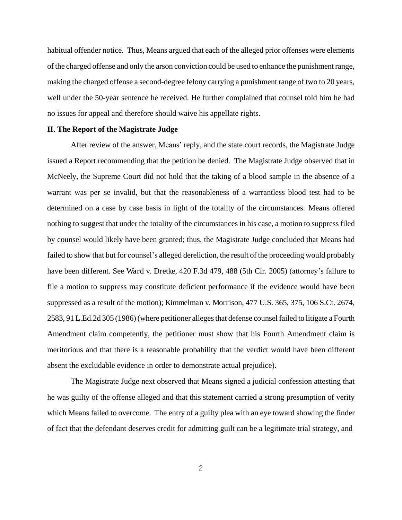habitual offender notice. Thus, Means argued that each of the alleged prior offenses were elements of the charged offense and only the arson conviction could be used to enhance the punishment range, making the charged offense a second-degree felony carrying a punishment range of two to 20 years, well under the 50-year sentence he received. He further complained that counsel told him he had no issues for appeal and therefore should waive his appellate rights.

### **II. The Report of the Magistrate Judge**

After review of the answer, Means' reply, and the state court records, the Magistrate Judge issued a Report recommending that the petition be denied. The Magistrate Judge observed that in McNeely, the Supreme Court did not hold that the taking of a blood sample in the absence of a warrant was per se invalid, but that the reasonableness of a warrantless blood test had to be determined on a case by case basis in light of the totality of the circumstances. Means offered nothing to suggest that under the totality of the circumstances in his case, a motion to suppress filed by counsel would likely have been granted; thus, the Magistrate Judge concluded that Means had failed to show that but for counsel's alleged dereliction, the result of the proceeding would probably have been different. See Ward v. Dretke, 420 F.3d 479, 488 (5th Cir. 2005) (attorney's failure to file a motion to suppress may constitute deficient performance if the evidence would have been suppressed as a result of the motion); Kimmelman v. Morrison, 477 U.S. 365, 375, 106 S.Ct. 2674, 2583, 91 L.Ed.2d 305 (1986) (where petitioner alleges that defense counsel failed to litigate a Fourth Amendment claim competently, the petitioner must show that his Fourth Amendment claim is meritorious and that there is a reasonable probability that the verdict would have been different absent the excludable evidence in order to demonstrate actual prejudice).

The Magistrate Judge next observed that Means signed a judicial confession attesting that he was guilty of the offense alleged and that this statement carried a strong presumption of verity which Means failed to overcome. The entry of a guilty plea with an eye toward showing the finder of fact that the defendant deserves credit for admitting guilt can be a legitimate trial strategy, and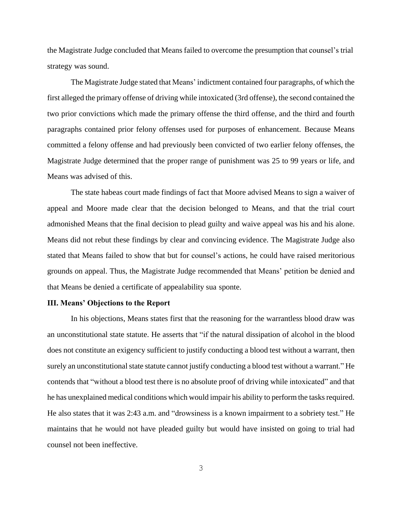the Magistrate Judge concluded that Means failed to overcome the presumption that counsel's trial strategy was sound.

The Magistrate Judge stated that Means' indictment contained four paragraphs, of which the first alleged the primary offense of driving while intoxicated (3rd offense), the second contained the two prior convictions which made the primary offense the third offense, and the third and fourth paragraphs contained prior felony offenses used for purposes of enhancement. Because Means committed a felony offense and had previously been convicted of two earlier felony offenses, the Magistrate Judge determined that the proper range of punishment was 25 to 99 years or life, and Means was advised of this.

The state habeas court made findings of fact that Moore advised Means to sign a waiver of appeal and Moore made clear that the decision belonged to Means, and that the trial court admonished Means that the final decision to plead guilty and waive appeal was his and his alone. Means did not rebut these findings by clear and convincing evidence. The Magistrate Judge also stated that Means failed to show that but for counsel's actions, he could have raised meritorious grounds on appeal. Thus, the Magistrate Judge recommended that Means' petition be denied and that Means be denied a certificate of appealability sua sponte.

## **III. Means' Objections to the Report**

In his objections, Means states first that the reasoning for the warrantless blood draw was an unconstitutional state statute. He asserts that "if the natural dissipation of alcohol in the blood does not constitute an exigency sufficient to justify conducting a blood test without a warrant, then surely an unconstitutional state statute cannot justify conducting a blood test without a warrant." He contends that "without a blood test there is no absolute proof of driving while intoxicated" and that he has unexplained medical conditions which would impair his ability to perform the tasks required. He also states that it was 2:43 a.m. and "drowsiness is a known impairment to a sobriety test." He maintains that he would not have pleaded guilty but would have insisted on going to trial had counsel not been ineffective.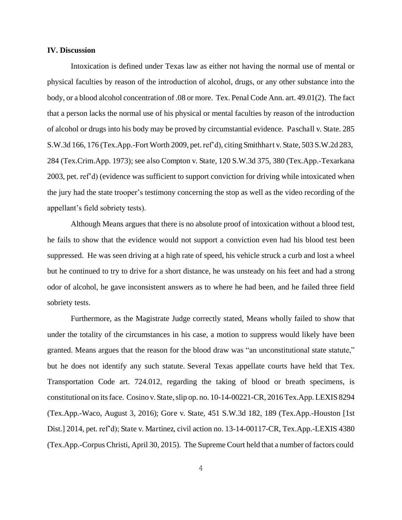#### **IV. Discussion**

Intoxication is defined under Texas law as either not having the normal use of mental or physical faculties by reason of the introduction of alcohol, drugs, or any other substance into the body, or a blood alcohol concentration of .08 or more. Tex. Penal Code Ann. art. 49.01(2). The fact that a person lacks the normal use of his physical or mental faculties by reason of the introduction of alcohol or drugs into his body may be proved by circumstantial evidence. Paschall v. State. 285 S.W.3d 166, 176 (Tex.App.-Fort Worth 2009, pet. ref'd), citing Smithhart v. State, 503 S.W.2d 283, 284 (Tex.Crim.App. 1973); see also Compton v. State, 120 S.W.3d 375, 380 (Tex.App.-Texarkana 2003, pet. ref'd) (evidence was sufficient to support conviction for driving while intoxicated when the jury had the state trooper's testimony concerning the stop as well as the video recording of the appellant's field sobriety tests).

Although Means argues that there is no absolute proof of intoxication without a blood test, he fails to show that the evidence would not support a conviction even had his blood test been suppressed. He was seen driving at a high rate of speed, his vehicle struck a curb and lost a wheel but he continued to try to drive for a short distance, he was unsteady on his feet and had a strong odor of alcohol, he gave inconsistent answers as to where he had been, and he failed three field sobriety tests.

Furthermore, as the Magistrate Judge correctly stated, Means wholly failed to show that under the totality of the circumstances in his case, a motion to suppress would likely have been granted. Means argues that the reason for the blood draw was "an unconstitutional state statute," but he does not identify any such statute. Several Texas appellate courts have held that Tex. Transportation Code art. 724.012, regarding the taking of blood or breath specimens, is constitutional on its face. Cosino v. State, slip op. no. 10-14-00221-CR, 2016 Tex.App. LEXIS 8294 (Tex.App.-Waco, August 3, 2016); Gore v. State, 451 S.W.3d 182, 189 (Tex.App.-Houston [1st Dist.] 2014, pet. ref'd); State v. Martinez, civil action no. 13-14-00117-CR, Tex.App.-LEXIS 4380 (Tex.App.-Corpus Christi, April 30, 2015). The Supreme Court held that a number of factors could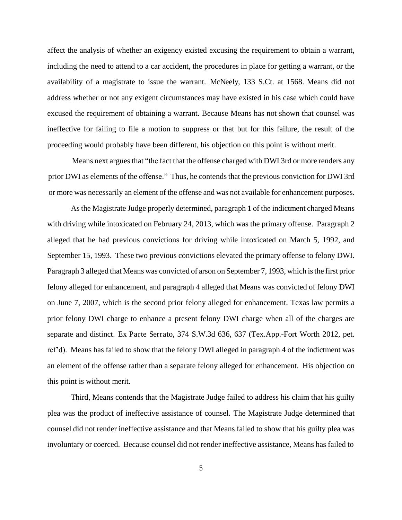affect the analysis of whether an exigency existed excusing the requirement to obtain a warrant, including the need to attend to a car accident, the procedures in place for getting a warrant, or the availability of a magistrate to issue the warrant. McNeely, 133 S.Ct. at 1568. Means did not address whether or not any exigent circumstances may have existed in his case which could have excused the requirement of obtaining a warrant. Because Means has not shown that counsel was ineffective for failing to file a motion to suppress or that but for this failure, the result of the proceeding would probably have been different, his objection on this point is without merit.

Means next argues that "the fact that the offense charged with DWI 3rd or more renders any prior DWI as elements of the offense." Thus, he contends that the previous conviction for DWI 3rd or more was necessarily an element of the offense and was not available for enhancement purposes.

As the Magistrate Judge properly determined, paragraph 1 of the indictment charged Means with driving while intoxicated on February 24, 2013, which was the primary offense. Paragraph 2 alleged that he had previous convictions for driving while intoxicated on March 5, 1992, and September 15, 1993. These two previous convictions elevated the primary offense to felony DWI. Paragraph 3 alleged that Means was convicted of arson on September 7, 1993, which is the first prior felony alleged for enhancement, and paragraph 4 alleged that Means was convicted of felony DWI on June 7, 2007, which is the second prior felony alleged for enhancement. Texas law permits a prior felony DWI charge to enhance a present felony DWI charge when all of the charges are separate and distinct. Ex Parte Serrato, 374 S.W.3d 636, 637 (Tex.App.-Fort Worth 2012, pet. ref'd). Means has failed to show that the felony DWI alleged in paragraph 4 of the indictment was an element of the offense rather than a separate felony alleged for enhancement. His objection on this point is without merit.

Third, Means contends that the Magistrate Judge failed to address his claim that his guilty plea was the product of ineffective assistance of counsel. The Magistrate Judge determined that counsel did not render ineffective assistance and that Means failed to show that his guilty plea was involuntary or coerced. Because counsel did not render ineffective assistance, Means has failed to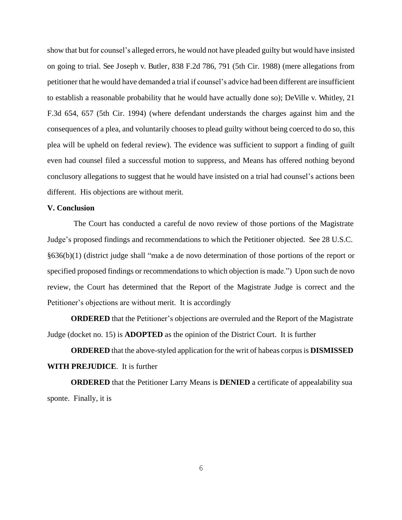show that but for counsel's alleged errors, he would not have pleaded guilty but would have insisted on going to trial. See Joseph v. Butler, 838 F.2d 786, 791 (5th Cir. 1988) (mere allegations from petitioner that he would have demanded a trial if counsel's advice had been different are insufficient to establish a reasonable probability that he would have actually done so); DeVille v. Whitley, 21 F.3d 654, 657 (5th Cir. 1994) (where defendant understands the charges against him and the consequences of a plea, and voluntarily chooses to plead guilty without being coerced to do so, this plea will be upheld on federal review). The evidence was sufficient to support a finding of guilt even had counsel filed a successful motion to suppress, and Means has offered nothing beyond conclusory allegations to suggest that he would have insisted on a trial had counsel's actions been different. His objections are without merit.

### **V. Conclusion**

The Court has conducted a careful de novo review of those portions of the Magistrate Judge's proposed findings and recommendations to which the Petitioner objected. See 28 U.S.C. §636(b)(1) (district judge shall "make a de novo determination of those portions of the report or specified proposed findings or recommendations to which objection is made.") Upon such de novo review, the Court has determined that the Report of the Magistrate Judge is correct and the Petitioner's objections are without merit. It is accordingly

**ORDERED** that the Petitioner's objections are overruled and the Report of the Magistrate Judge (docket no. 15) is **ADOPTED** as the opinion of the District Court. It is further

**ORDERED** that the above-styled application for the writ of habeas corpus is **DISMISSED WITH PREJUDICE**. It is further

**ORDERED** that the Petitioner Larry Means is **DENIED** a certificate of appealability sua sponte. Finally, it is

6